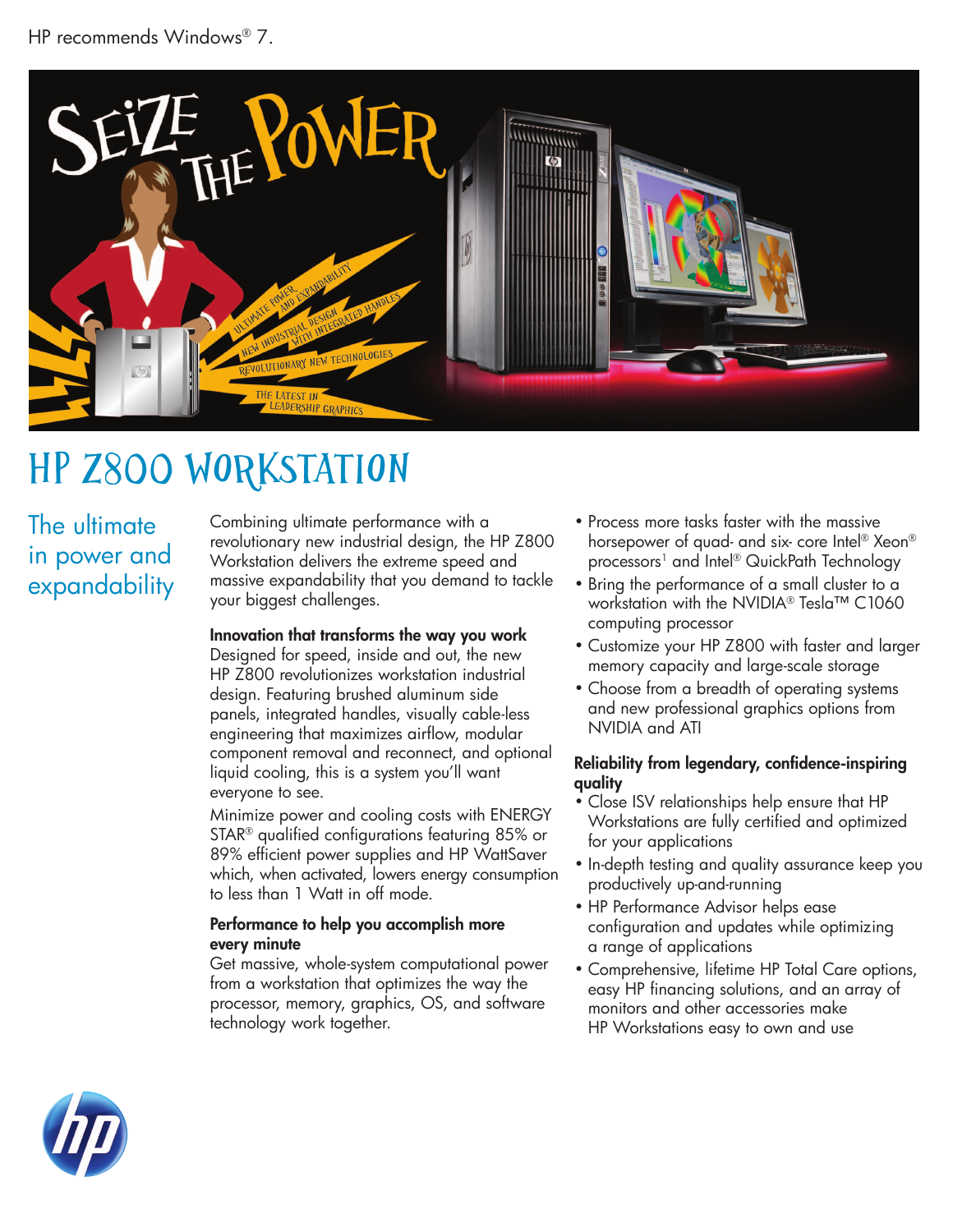

# HP z800 Workstation

The ultimate in power and expandability

Combining ultimate performance with a revolutionary new industrial design, the HP Z800 Workstation delivers the extreme speed and massive expandability that you demand to tackle your biggest challenges.

### Innovation that transforms the way you work

Designed for speed, inside and out, the new HP Z800 revolutionizes workstation industrial design. Featuring brushed aluminum side panels, integrated handles, visually cable-less engineering that maximizes airflow, modular component removal and reconnect, and optional liquid cooling, this is a system you'll want everyone to see.

Minimize power and cooling costs with ENERGY STAR® qualified configurations featuring 85% or 89% efficient power supplies and HP WattSaver which, when activated, lowers energy consumption to less than 1 Watt in off mode.

#### Performance to help you accomplish more every minute

Get massive, whole-system computational power from a workstation that optimizes the way the processor, memory, graphics, OS, and software technology work together.

- Process more tasks faster with the massive horsepower of quad- and six- core Intel® Xeon® processors<sup>1</sup> and Intel® QuickPath Technology
- Bring the performance of a small cluster to a workstation with the NVIDIA® Tesla™ C1060 computing processor
- Customize your HP Z800 with faster and larger memory capacity and large-scale storage
- Choose from a breadth of operating systems and new professional graphics options from NVIDIA and ATI

#### Reliability from legendary, confidence-inspiring quality

- Close ISV relationships help ensure that HP Workstations are fully certified and optimized for your applications
- In-depth testing and quality assurance keep you productively up-and-running
- HP Performance Advisor helps ease configuration and updates while optimizing a range of applications
- Comprehensive, lifetime HP Total Care options, easy HP financing solutions, and an array of monitors and other accessories make HP Workstations easy to own and use